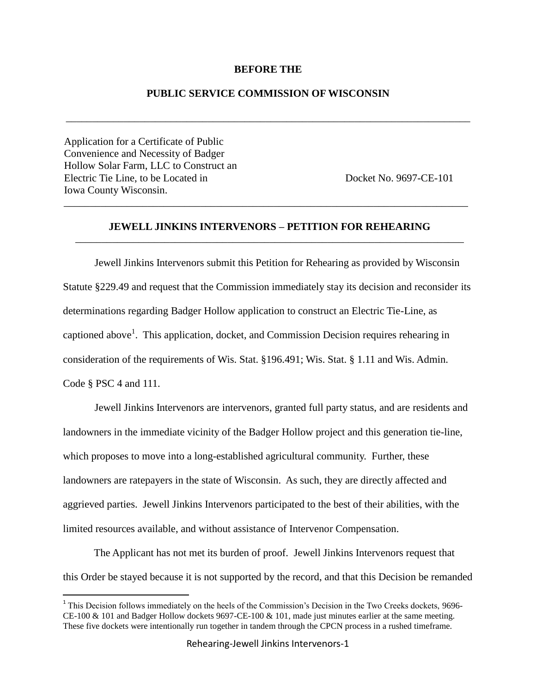#### **BEFORE THE**

### **PUBLIC SERVICE COMMISSION OF WISCONSIN**

\_\_\_\_\_\_\_\_\_\_\_\_\_\_\_\_\_\_\_\_\_\_\_\_\_\_\_\_\_\_\_\_\_\_\_\_\_\_\_\_\_\_\_\_\_\_\_\_\_\_\_\_\_\_\_\_\_\_\_\_\_\_\_\_\_\_\_\_\_\_\_\_\_\_\_\_\_

Application for a Certificate of Public Convenience and Necessity of Badger Hollow Solar Farm, LLC to Construct an Electric Tie Line, to be Located in Docket No. 9697-CE-101 Iowa County Wisconsin.

 $\overline{a}$ 

## **JEWELL JINKINS INTERVENORS – PETITION FOR REHEARING** \_\_\_\_\_\_\_\_\_\_\_\_\_\_\_\_\_\_\_\_\_\_\_\_\_\_\_\_\_\_\_\_\_\_\_\_\_\_\_\_\_\_\_\_\_\_\_\_\_\_\_\_\_\_\_\_\_\_\_\_\_\_\_\_\_\_\_\_\_\_\_\_\_\_

\_\_\_\_\_\_\_\_\_\_\_\_\_\_\_\_\_\_\_\_\_\_\_\_\_\_\_\_\_\_\_\_\_\_\_\_\_\_\_\_\_\_\_\_\_\_\_\_\_\_\_\_\_\_\_\_\_\_\_\_\_\_\_\_\_\_\_\_\_\_\_\_\_\_\_\_\_

Jewell Jinkins Intervenors submit this Petition for Rehearing as provided by Wisconsin Statute §229.49 and request that the Commission immediately stay its decision and reconsider its determinations regarding Badger Hollow application to construct an Electric Tie-Line, as captioned above<sup>1</sup>. This application, docket, and Commission Decision requires rehearing in consideration of the requirements of Wis. Stat. §196.491; Wis. Stat. § 1.11 and Wis. Admin. Code § PSC 4 and 111.

Jewell Jinkins Intervenors are intervenors, granted full party status, and are residents and landowners in the immediate vicinity of the Badger Hollow project and this generation tie-line, which proposes to move into a long-established agricultural community. Further, these landowners are ratepayers in the state of Wisconsin. As such, they are directly affected and aggrieved parties. Jewell Jinkins Intervenors participated to the best of their abilities, with the limited resources available, and without assistance of Intervenor Compensation.

The Applicant has not met its burden of proof. Jewell Jinkins Intervenors request that this Order be stayed because it is not supported by the record, and that this Decision be remanded

<sup>&</sup>lt;sup>1</sup> This Decision follows immediately on the heels of the Commission's Decision in the Two Creeks dockets, 9696-CE-100 & 101 and Badger Hollow dockets 9697-CE-100 & 101, made just minutes earlier at the same meeting. These five dockets were intentionally run together in tandem through the CPCN process in a rushed timeframe.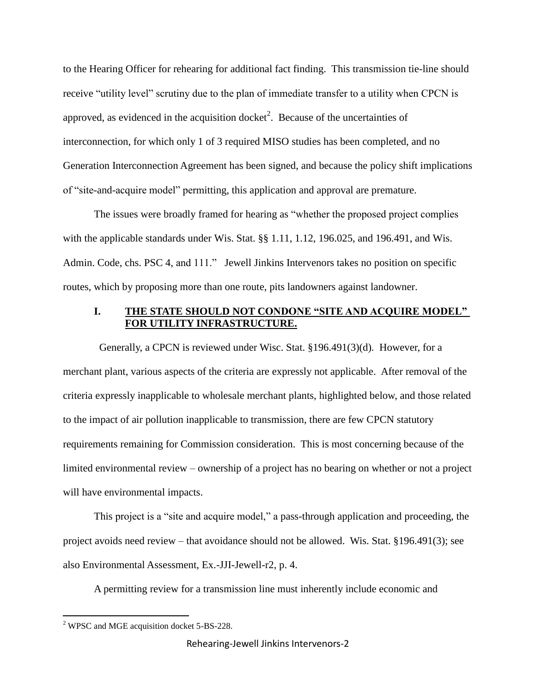to the Hearing Officer for rehearing for additional fact finding. This transmission tie-line should receive "utility level" scrutiny due to the plan of immediate transfer to a utility when CPCN is approved, as evidenced in the acquisition docket<sup>2</sup>. Because of the uncertainties of interconnection, for which only 1 of 3 required MISO studies has been completed, and no Generation Interconnection Agreement has been signed, and because the policy shift implications of "site-and-acquire model" permitting, this application and approval are premature.

The issues were broadly framed for hearing as "whether the proposed project complies with the applicable standards under Wis. Stat. §§ 1.11, 1.12, 196.025, and 196.491, and Wis. Admin. Code, chs. PSC 4, and 111." Jewell Jinkins Intervenors takes no position on specific routes, which by proposing more than one route, pits landowners against landowner.

# **I. THE STATE SHOULD NOT CONDONE "SITE AND ACQUIRE MODEL" FOR UTILITY INFRASTRUCTURE.**

 Generally, a CPCN is reviewed under Wisc. Stat. §196.491(3)(d). However, for a merchant plant, various aspects of the criteria are expressly not applicable. After removal of the criteria expressly inapplicable to wholesale merchant plants, highlighted below, and those related to the impact of air pollution inapplicable to transmission, there are few CPCN statutory requirements remaining for Commission consideration. This is most concerning because of the limited environmental review – ownership of a project has no bearing on whether or not a project will have environmental impacts.

This project is a "site and acquire model," a pass-through application and proceeding, the project avoids need review – that avoidance should not be allowed. Wis. Stat. §196.491(3); see also Environmental Assessment, Ex.-JJI-Jewell-r2, p. 4.

A permitting review for a transmission line must inherently include economic and

 $\overline{a}$ 

Rehearing-Jewell Jinkins Intervenors-2

<sup>&</sup>lt;sup>2</sup> WPSC and MGE acquisition docket 5-BS-228.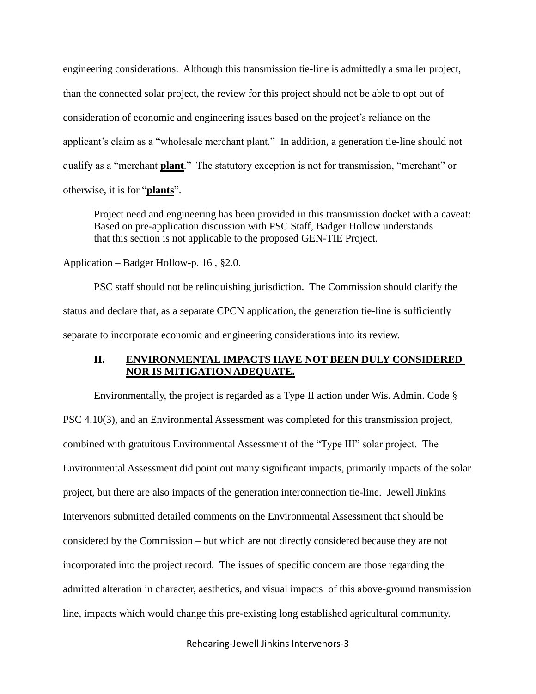engineering considerations. Although this transmission tie-line is admittedly a smaller project, than the connected solar project, the review for this project should not be able to opt out of consideration of economic and engineering issues based on the project's reliance on the applicant's claim as a "wholesale merchant plant." In addition, a generation tie-line should not qualify as a "merchant **plant**." The statutory exception is not for transmission, "merchant" or otherwise, it is for "**plants**".

Project need and engineering has been provided in this transmission docket with a caveat: Based on pre-application discussion with PSC Staff, Badger Hollow understands that this section is not applicable to the proposed GEN-TIE Project.

## Application – Badger Hollow-p. 16 , §2.0.

PSC staff should not be relinquishing jurisdiction. The Commission should clarify the status and declare that, as a separate CPCN application, the generation tie-line is sufficiently separate to incorporate economic and engineering considerations into its review.

### **II. ENVIRONMENTAL IMPACTS HAVE NOT BEEN DULY CONSIDERED NOR IS MITIGATION ADEQUATE.**

Environmentally, the project is regarded as a Type II action under Wis. Admin. Code § PSC 4.10(3), and an Environmental Assessment was completed for this transmission project, combined with gratuitous Environmental Assessment of the "Type III" solar project. The Environmental Assessment did point out many significant impacts, primarily impacts of the solar project, but there are also impacts of the generation interconnection tie-line. Jewell Jinkins Intervenors submitted detailed comments on the Environmental Assessment that should be considered by the Commission – but which are not directly considered because they are not incorporated into the project record. The issues of specific concern are those regarding the admitted alteration in character, aesthetics, and visual impacts of this above-ground transmission line, impacts which would change this pre-existing long established agricultural community.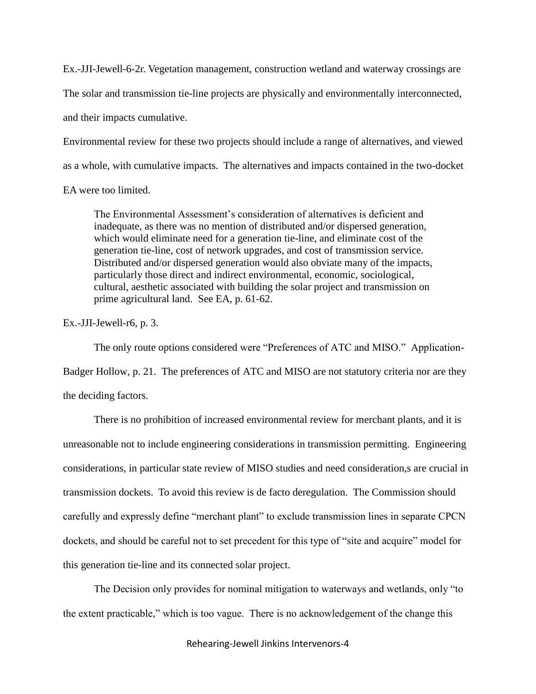Ex.-JJI-Jewell-6-2r. Vegetation management, construction wetland and waterway crossings are The solar and transmission tie-line projects are physically and environmentally interconnected, and their impacts cumulative.

Environmental review for these two projects should include a range of alternatives, and viewed as a whole, with cumulative impacts. The alternatives and impacts contained in the two-docket

EA were too limited.

The Environmental Assessment's consideration of alternatives is deficient and inadequate, as there was no mention of distributed and/or dispersed generation, which would eliminate need for a generation tie-line, and eliminate cost of the generation tie-line, cost of network upgrades, and cost of transmission service. Distributed and/or dispersed generation would also obviate many of the impacts, particularly those direct and indirect environmental, economic, sociological, cultural, aesthetic associated with building the solar project and transmission on prime agricultural land. See EA, p. 61-62.

Ex.-JJI-Jewell-r6, p. 3.

The only route options considered were "Preferences of ATC and MISO." Application-Badger Hollow, p. 21. The preferences of ATC and MISO are not statutory criteria nor are they the deciding factors.

There is no prohibition of increased environmental review for merchant plants, and it is unreasonable not to include engineering considerations in transmission permitting. Engineering considerations, in particular state review of MISO studies and need consideration,s are crucial in transmission dockets. To avoid this review is de facto deregulation. The Commission should carefully and expressly define "merchant plant" to exclude transmission lines in separate CPCN dockets, and should be careful not to set precedent for this type of "site and acquire" model for this generation tie-line and its connected solar project.

The Decision only provides for nominal mitigation to waterways and wetlands, only "to the extent practicable," which is too vague. There is no acknowledgement of the change this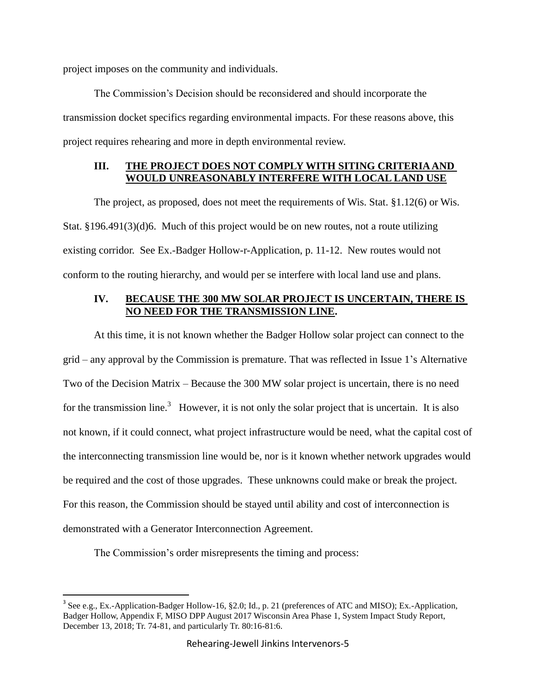project imposes on the community and individuals.

The Commission's Decision should be reconsidered and should incorporate the transmission docket specifics regarding environmental impacts. For these reasons above, this project requires rehearing and more in depth environmental review.

# **III. THE PROJECT DOES NOT COMPLY WITH SITING CRITERIA AND WOULD UNREASONABLY INTERFERE WITH LOCAL LAND USE**

The project, as proposed, does not meet the requirements of Wis. Stat. §1.12(6) or Wis. Stat. §196.491(3)(d)6. Much of this project would be on new routes, not a route utilizing existing corridor. See Ex.-Badger Hollow-r-Application, p. 11-12. New routes would not conform to the routing hierarchy, and would per se interfere with local land use and plans.

# **IV. BECAUSE THE 300 MW SOLAR PROJECT IS UNCERTAIN, THERE IS NO NEED FOR THE TRANSMISSION LINE.**

At this time, it is not known whether the Badger Hollow solar project can connect to the grid – any approval by the Commission is premature. That was reflected in Issue 1's Alternative Two of the Decision Matrix – Because the 300 MW solar project is uncertain, there is no need for the transmission line.<sup>3</sup> However, it is not only the solar project that is uncertain. It is also not known, if it could connect, what project infrastructure would be need, what the capital cost of the interconnecting transmission line would be, nor is it known whether network upgrades would be required and the cost of those upgrades. These unknowns could make or break the project. For this reason, the Commission should be stayed until ability and cost of interconnection is demonstrated with a Generator Interconnection Agreement.

The Commission's order misrepresents the timing and process:

 $\overline{a}$ 

<sup>&</sup>lt;sup>3</sup> See e.g., Ex.-Application-Badger Hollow-16, §2.0; Id., p. 21 (preferences of ATC and MISO); Ex.-Application, Badger Hollow, Appendix F, MISO DPP August 2017 Wisconsin Area Phase 1, System Impact Study Report, December 13, 2018; Tr. 74-81, and particularly Tr. 80:16-81:6.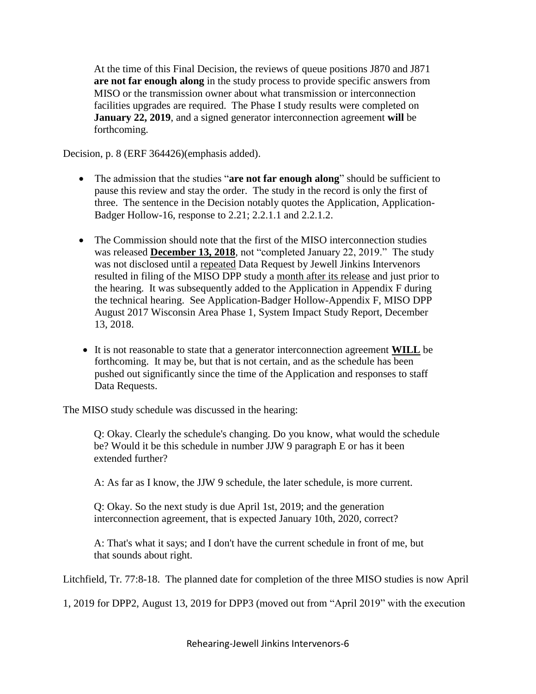At the time of this Final Decision, the reviews of queue positions J870 and J871 **are not far enough along** in the study process to provide specific answers from MISO or the transmission owner about what transmission or interconnection facilities upgrades are required. The Phase I study results were completed on **January 22, 2019**, and a signed generator interconnection agreement **will** be forthcoming.

Decision, p. 8 (ERF 364426)(emphasis added).

- The admission that the studies "**are not far enough along**" should be sufficient to pause this review and stay the order. The study in the record is only the first of three. The sentence in the Decision notably quotes the Application, Application-Badger Hollow-16, response to 2.21; 2.2.1.1 and 2.2.1.2.
- The Commission should note that the first of the MISO interconnection studies was released **December 13, 2018**, not "completed January 22, 2019." The study was not disclosed until a repeated Data Request by Jewell Jinkins Intervenors resulted in filing of the MISO DPP study a month after its release and just prior to the hearing. It was subsequently added to the Application in Appendix F during the technical hearing. See Application-Badger Hollow-Appendix F, MISO DPP August 2017 Wisconsin Area Phase 1, System Impact Study Report, December 13, 2018.
- It is not reasonable to state that a generator interconnection agreement **WILL** be forthcoming. It may be, but that is not certain, and as the schedule has been pushed out significantly since the time of the Application and responses to staff Data Requests.

The MISO study schedule was discussed in the hearing:

Q: Okay. Clearly the schedule's changing. Do you know, what would the schedule be? Would it be this schedule in number JJW 9 paragraph E or has it been extended further?

A: As far as I know, the JJW 9 schedule, the later schedule, is more current.

Q: Okay. So the next study is due April 1st, 2019; and the generation interconnection agreement, that is expected January 10th, 2020, correct?

A: That's what it says; and I don't have the current schedule in front of me, but that sounds about right.

Litchfield, Tr. 77:8-18. The planned date for completion of the three MISO studies is now April

1, 2019 for DPP2, August 13, 2019 for DPP3 (moved out from "April 2019" with the execution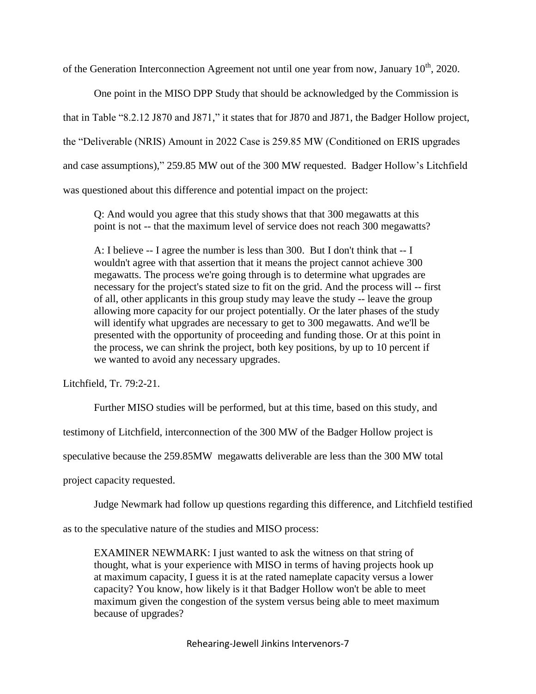of the Generation Interconnection Agreement not until one year from now, January 10<sup>th</sup>, 2020.

One point in the MISO DPP Study that should be acknowledged by the Commission is that in Table "8.2.12 J870 and J871," it states that for J870 and J871, the Badger Hollow project, the "Deliverable (NRIS) Amount in 2022 Case is 259.85 MW (Conditioned on ERIS upgrades and case assumptions)," 259.85 MW out of the 300 MW requested. Badger Hollow's Litchfield was questioned about this difference and potential impact on the project:

Q: And would you agree that this study shows that that 300 megawatts at this point is not -- that the maximum level of service does not reach 300 megawatts?

A: I believe -- I agree the number is less than 300. But I don't think that -- I wouldn't agree with that assertion that it means the project cannot achieve 300 megawatts. The process we're going through is to determine what upgrades are necessary for the project's stated size to fit on the grid. And the process will -- first of all, other applicants in this group study may leave the study -- leave the group allowing more capacity for our project potentially. Or the later phases of the study will identify what upgrades are necessary to get to 300 megawatts. And we'll be presented with the opportunity of proceeding and funding those. Or at this point in the process, we can shrink the project, both key positions, by up to 10 percent if we wanted to avoid any necessary upgrades.

Litchfield, Tr. 79:2-21.

Further MISO studies will be performed, but at this time, based on this study, and

testimony of Litchfield, interconnection of the 300 MW of the Badger Hollow project is

speculative because the 259.85MW megawatts deliverable are less than the 300 MW total

project capacity requested.

Judge Newmark had follow up questions regarding this difference, and Litchfield testified

as to the speculative nature of the studies and MISO process:

EXAMINER NEWMARK: I just wanted to ask the witness on that string of thought, what is your experience with MISO in terms of having projects hook up at maximum capacity, I guess it is at the rated nameplate capacity versus a lower capacity? You know, how likely is it that Badger Hollow won't be able to meet maximum given the congestion of the system versus being able to meet maximum because of upgrades?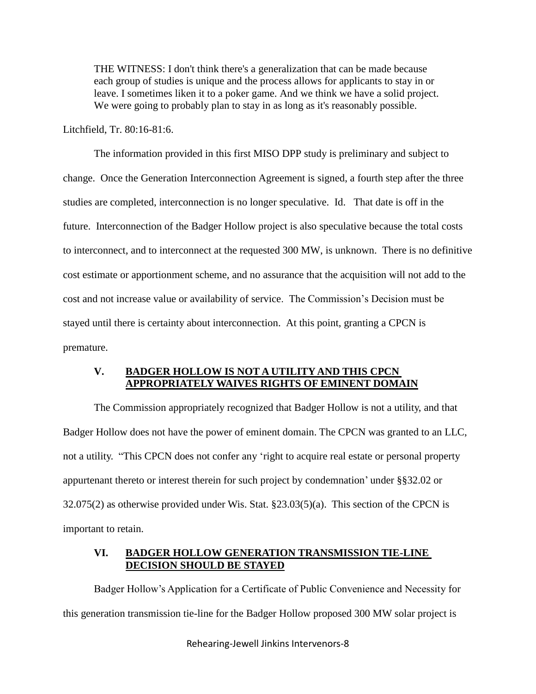THE WITNESS: I don't think there's a generalization that can be made because each group of studies is unique and the process allows for applicants to stay in or leave. I sometimes liken it to a poker game. And we think we have a solid project. We were going to probably plan to stay in as long as it's reasonably possible.

Litchfield, Tr. 80:16-81:6.

The information provided in this first MISO DPP study is preliminary and subject to change. Once the Generation Interconnection Agreement is signed, a fourth step after the three studies are completed, interconnection is no longer speculative. Id. That date is off in the future. Interconnection of the Badger Hollow project is also speculative because the total costs to interconnect, and to interconnect at the requested 300 MW, is unknown. There is no definitive cost estimate or apportionment scheme, and no assurance that the acquisition will not add to the cost and not increase value or availability of service. The Commission's Decision must be stayed until there is certainty about interconnection. At this point, granting a CPCN is premature.

### **V. BADGER HOLLOW IS NOT A UTILITY AND THIS CPCN APPROPRIATELY WAIVES RIGHTS OF EMINENT DOMAIN**

The Commission appropriately recognized that Badger Hollow is not a utility, and that Badger Hollow does not have the power of eminent domain. The CPCN was granted to an LLC, not a utility. "This CPCN does not confer any 'right to acquire real estate or personal property appurtenant thereto or interest therein for such project by condemnation' under §§32.02 or 32.075(2) as otherwise provided under Wis. Stat. §23.03(5)(a). This section of the CPCN is important to retain.

## **VI. BADGER HOLLOW GENERATION TRANSMISSION TIE-LINE DECISION SHOULD BE STAYED**

Badger Hollow's Application for a Certificate of Public Convenience and Necessity for this generation transmission tie-line for the Badger Hollow proposed 300 MW solar project is